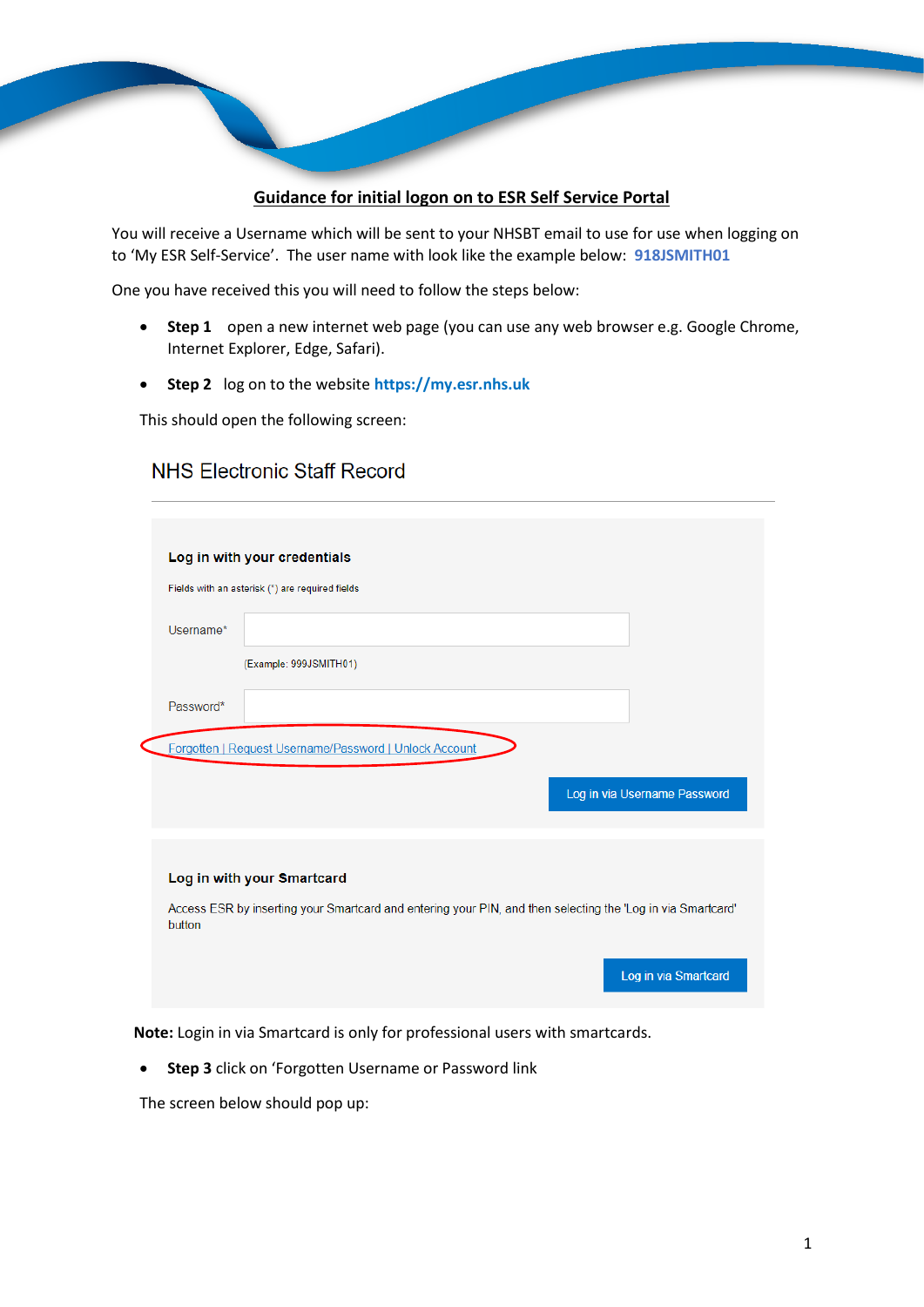## **Guidance for initial logon on to ESR Self Service Portal**

You will receive a Username which will be sent to your NHSBT email to use for use when logging on to 'My ESR Self-Service'. The user name with look like the example below: **918JSMITH01**

One you have received this you will need to follow the steps below:

- **Step 1** open a new internet web page (you can use any web browser e.g. Google Chrome, Internet Explorer, Edge, Safari).
- **Step 2** log on to the website **https://my.esr.nhs.uk**

This should open the following screen:

## NHS Flectronic Staff Record

|           | Log in with your credentials                                                                                |
|-----------|-------------------------------------------------------------------------------------------------------------|
|           | Fields with an asterisk (*) are required fields                                                             |
| Username* |                                                                                                             |
|           | (Example: 999JSMITH01)                                                                                      |
| Password* |                                                                                                             |
|           | Forgotten   Request Username/Password   Unlock Account<br>Log in via Username Password                      |
|           |                                                                                                             |
|           | Log in with your Smartcard                                                                                  |
| button    | Access ESR by inserting your Smartcard and entering your PIN, and then selecting the 'Log in via Smartcard' |
|           |                                                                                                             |

**Note:** Login in via Smartcard is only for professional users with smartcards.

**• Step 3** click on 'Forgotten Username or Password link

The screen below should pop up: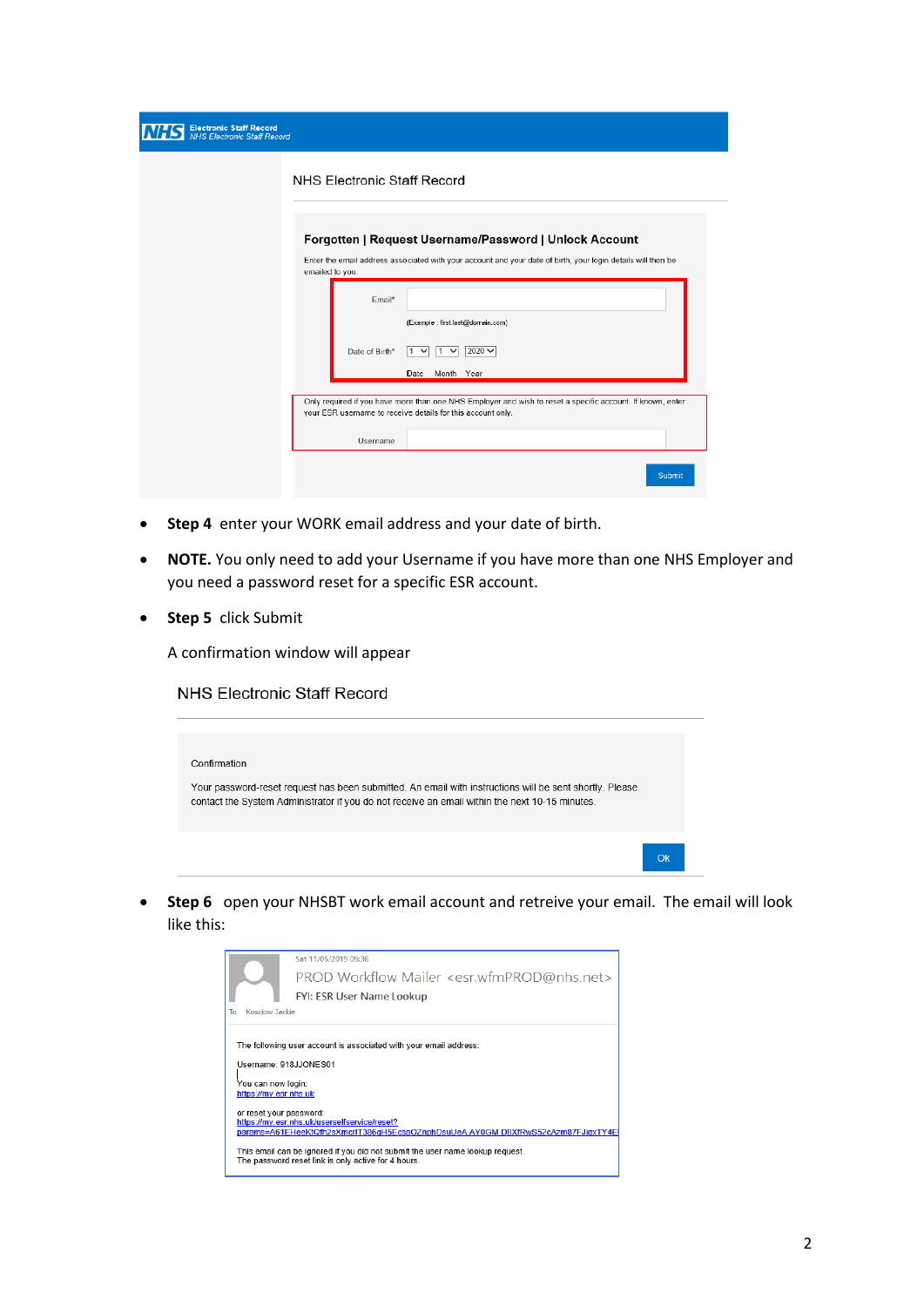| <b>Electronic Staff Record</b><br>W<br><b>NHS Electronic Staff Record</b> |                                                                                                                                                                                           |
|---------------------------------------------------------------------------|-------------------------------------------------------------------------------------------------------------------------------------------------------------------------------------------|
|                                                                           | <b>NHS Electronic Staff Record</b>                                                                                                                                                        |
|                                                                           | Forgotten   Request Username/Password   Unlock Account<br>Enter the email address associated with your account and your date of birth, your login details will then be<br>emailed to you. |
|                                                                           | Email*<br>(Example: first.last@domain.com)                                                                                                                                                |
|                                                                           | $2020 \vee$<br>Date of Birth*<br>$\check{ }$<br>1.<br>Date Month Year                                                                                                                     |
|                                                                           | Only required if you have more than one NHS Employer and wish to reset a specific account. If known, enter<br>your ESR username to receive details for this account only.                 |
|                                                                           | Username                                                                                                                                                                                  |
|                                                                           | Submit                                                                                                                                                                                    |

- **Step 4** enter your WORK email address and your date of birth.
- **NOTE.** You only need to add your Username if you have more than one NHS Employer and you need a password reset for a specific ESR account.
- **Step 5** click Submit

A confirmation window will appear

NHS Electronic Staff Record

| Confirmation                                                                                                                                                                                              |    |
|-----------------------------------------------------------------------------------------------------------------------------------------------------------------------------------------------------------|----|
| Your password-reset request has been submitted. An email with instructions will be sent shortly. Please<br>contact the System Administrator if you do not receive an email within the next 10-15 minutes. |    |
|                                                                                                                                                                                                           | Ok |

 **Step 6** open your NHSBT work email account and retreive your email. The email will look like this:

|                         | Sat 11/05/2019 09:36                                                                                                             |
|-------------------------|----------------------------------------------------------------------------------------------------------------------------------|
|                         | PROD Workflow Mailer <esr.wfmprod@nhs.net></esr.wfmprod@nhs.net>                                                                 |
|                         | <b>FYI: ESR User Name Lookup</b>                                                                                                 |
| Kosciow Jackie<br>To    |                                                                                                                                  |
|                         |                                                                                                                                  |
|                         | The following user account is associated with your email address:                                                                |
|                         |                                                                                                                                  |
|                         | Username: 918JJONES01                                                                                                            |
|                         |                                                                                                                                  |
| You can now login:      |                                                                                                                                  |
|                         |                                                                                                                                  |
| https://my.esr.nhs.uk   |                                                                                                                                  |
|                         |                                                                                                                                  |
| or reset your password: |                                                                                                                                  |
|                         | https://my.esr.nhs.uk/userselfservice/reset?<br>params=A61EHeeKtQfh2sXmcrlT386gH5EcsaOZnphDsuUeA.AY0GM.D8XfRwS52cAzm87FJjgxTY4El |
|                         |                                                                                                                                  |
|                         | This email can be ignored if you did not submit the user name lookup request.                                                    |
|                         | The password reset link is only active for 4 hours.                                                                              |